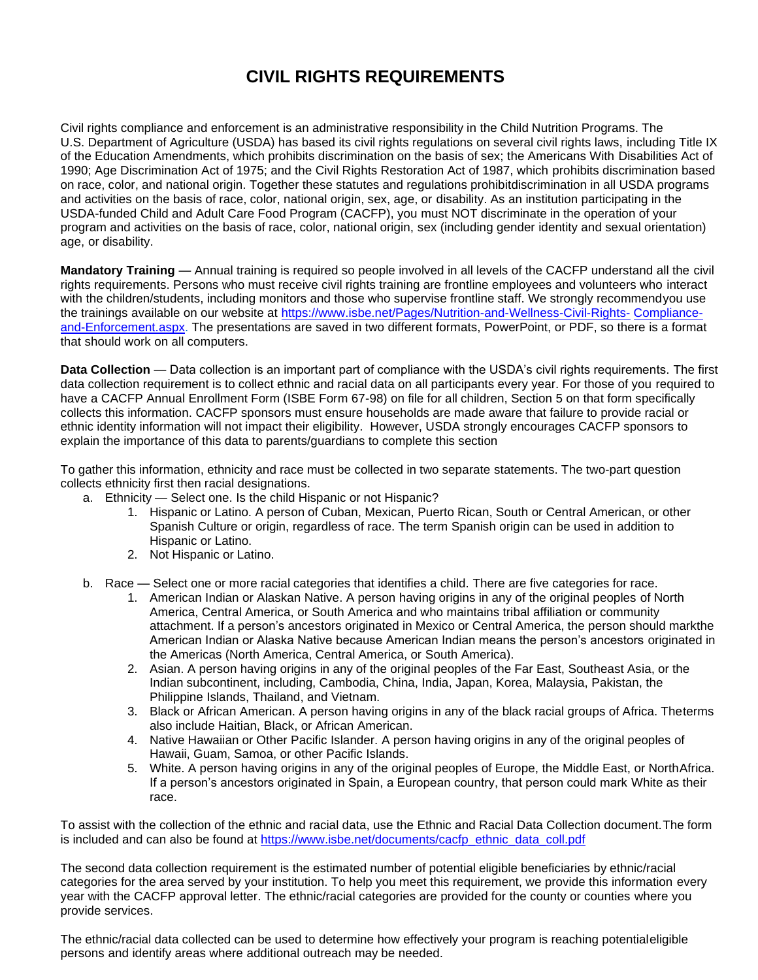## **CIVIL RIGHTS REQUIREMENTS**

Civil rights compliance and enforcement is an administrative responsibility in the Child Nutrition Programs. The U.S. Department of Agriculture (USDA) has based its civil rights regulations on several civil rights laws, including Title IX of the Education Amendments, which prohibits discrimination on the basis of sex; the Americans With Disabilities Act of 1990; Age Discrimination Act of 1975; and the Civil Rights Restoration Act of 1987, which prohibits discrimination based on race, color, and national origin. Together these statutes and regulations prohibitdiscrimination in all USDA programs and activities on the basis of race, color, national origin, sex, age, or disability. As an institution participating in the USDA-funded Child and Adult Care Food Program (CACFP), you must NOT discriminate in the operation of your program and activities on the basis of race, color, national origin, sex (including gender identity and sexual orientation) age, or disability.

**Mandatory Training** — Annual training is required so people involved in all levels of the CACFP understand all the civil rights requirements. Persons who must receive civil rights training are frontline employees and volunteers who interact with the children/students, including monitors and those who supervise frontline staff. We strongly recommendyou use the trainings available on our website at [https://www.isbe.net/Pages/Nutrition-and-Wellness-Civil-Rights-](https://www.isbe.net/Pages/Nutrition-and-Wellness-Civil-Rights-Compliance-and-Enforcement.aspx) [Compliance](https://www.isbe.net/Pages/Nutrition-and-Wellness-Civil-Rights-Compliance-and-Enforcement.aspx)[and-Enforcement.aspx. T](https://www.isbe.net/Pages/Nutrition-and-Wellness-Civil-Rights-Compliance-and-Enforcement.aspx)he presentations are saved in two different formats, PowerPoint, or PDF, so there is a format that should work on all computers.

**Data Collection** — Data collection is an important part of compliance with the USDA's civil rights requirements. The first data collection requirement is to collect ethnic and racial data on all participants every year. For those of you required to have a CACFP Annual Enrollment Form (ISBE Form 67-98) on file for all children, Section 5 on that form specifically collects this information. CACFP sponsors must ensure households are made aware that failure to provide racial or ethnic identity information will not impact their eligibility. However, USDA strongly encourages CACFP sponsors to explain the importance of this data to parents/guardians to complete this section

To gather this information, ethnicity and race must be collected in two separate statements. The two-part question collects ethnicity first then racial designations.

- a. Ethnicity Select one. Is the child Hispanic or not Hispanic?
	- 1. Hispanic or Latino. A person of Cuban, Mexican, Puerto Rican, South or Central American, or other Spanish Culture or origin, regardless of race. The term Spanish origin can be used in addition to Hispanic or Latino.
	- 2. Not Hispanic or Latino.
- b. Race Select one or more racial categories that identifies a child. There are five categories for race.
	- 1. American Indian or Alaskan Native. A person having origins in any of the original peoples of North America, Central America, or South America and who maintains tribal affiliation or community attachment. If a person's ancestors originated in Mexico or Central America, the person should markthe American Indian or Alaska Native because American Indian means the person's ancestors originated in the Americas (North America, Central America, or South America).
	- 2. Asian. A person having origins in any of the original peoples of the Far East, Southeast Asia, or the Indian subcontinent, including, Cambodia, China, India, Japan, Korea, Malaysia, Pakistan, the Philippine Islands, Thailand, and Vietnam.
	- 3. Black or African American. A person having origins in any of the black racial groups of Africa. Theterms also include Haitian, Black, or African American.
	- 4. Native Hawaiian or Other Pacific Islander. A person having origins in any of the original peoples of Hawaii, Guam, Samoa, or other Pacific Islands.
	- 5. White. A person having origins in any of the original peoples of Europe, the Middle East, or NorthAfrica. If a person's ancestors originated in Spain, a European country, that person could mark White as their race.

To assist with the collection of the ethnic and racial data, use the Ethnic and Racial Data Collection document.The form is included and can also be found at [https://www.isbe.net/documents/cacfp\\_ethnic\\_data\\_coll.pdf](https://www.isbe.net/documents/cacfp_ethnic_data_coll.pdf)

The second data collection requirement is the estimated number of potential eligible beneficiaries by ethnic/racial categories for the area served by your institution. To help you meet this requirement, we provide this information every year with the CACFP approval letter. The ethnic/racial categories are provided for the county or counties where you provide services.

The ethnic/racial data collected can be used to determine how effectively your program is reaching potentialeligible persons and identify areas where additional outreach may be needed.